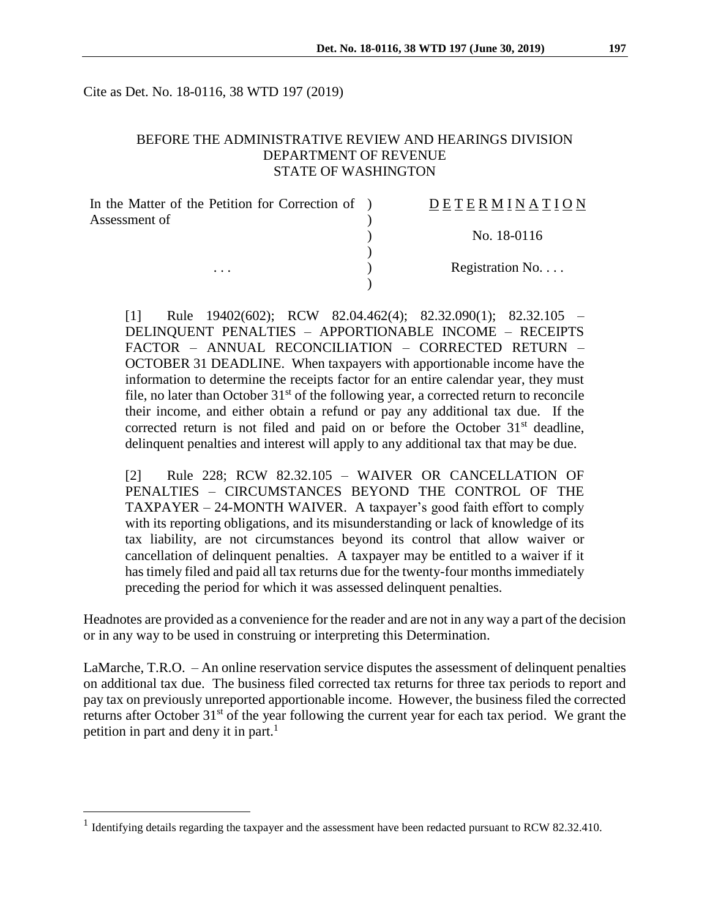Cite as Det. No. 18-0116, 38 WTD 197 (2019)

#### BEFORE THE ADMINISTRATIVE REVIEW AND HEARINGS DIVISION DEPARTMENT OF REVENUE STATE OF WASHINGTON

| Assessment of   |  |
|-----------------|--|
|                 |  |
| No. 18-0116     |  |
| Registration No |  |
| $\cdots$        |  |

[1] Rule 19402(602); RCW 82.04.462(4); 82.32.090(1); 82.32.105 – DELINQUENT PENALTIES – APPORTIONABLE INCOME – RECEIPTS FACTOR – ANNUAL RECONCILIATION – CORRECTED RETURN – OCTOBER 31 DEADLINE. When taxpayers with apportionable income have the information to determine the receipts factor for an entire calendar year, they must file, no later than October  $31<sup>st</sup>$  of the following year, a corrected return to reconcile their income, and either obtain a refund or pay any additional tax due. If the corrected return is not filed and paid on or before the October  $31<sup>st</sup>$  deadline, delinquent penalties and interest will apply to any additional tax that may be due.

[2] Rule 228; RCW 82.32.105 – WAIVER OR CANCELLATION OF PENALTIES – CIRCUMSTANCES BEYOND THE CONTROL OF THE TAXPAYER – 24-MONTH WAIVER. A taxpayer's good faith effort to comply with its reporting obligations, and its misunderstanding or lack of knowledge of its tax liability, are not circumstances beyond its control that allow waiver or cancellation of delinquent penalties. A taxpayer may be entitled to a waiver if it has timely filed and paid all tax returns due for the twenty-four months immediately preceding the period for which it was assessed delinquent penalties.

Headnotes are provided as a convenience for the reader and are not in any way a part of the decision or in any way to be used in construing or interpreting this Determination.

LaMarche, T.R.O. – An online reservation service disputes the assessment of delinquent penalties on additional tax due. The business filed corrected tax returns for three tax periods to report and pay tax on previously unreported apportionable income. However, the business filed the corrected returns after October 31<sup>st</sup> of the year following the current year for each tax period. We grant the petition in part and deny it in part. 1

 $\overline{a}$ 

<sup>&</sup>lt;sup>1</sup> Identifying details regarding the taxpayer and the assessment have been redacted pursuant to RCW 82.32.410.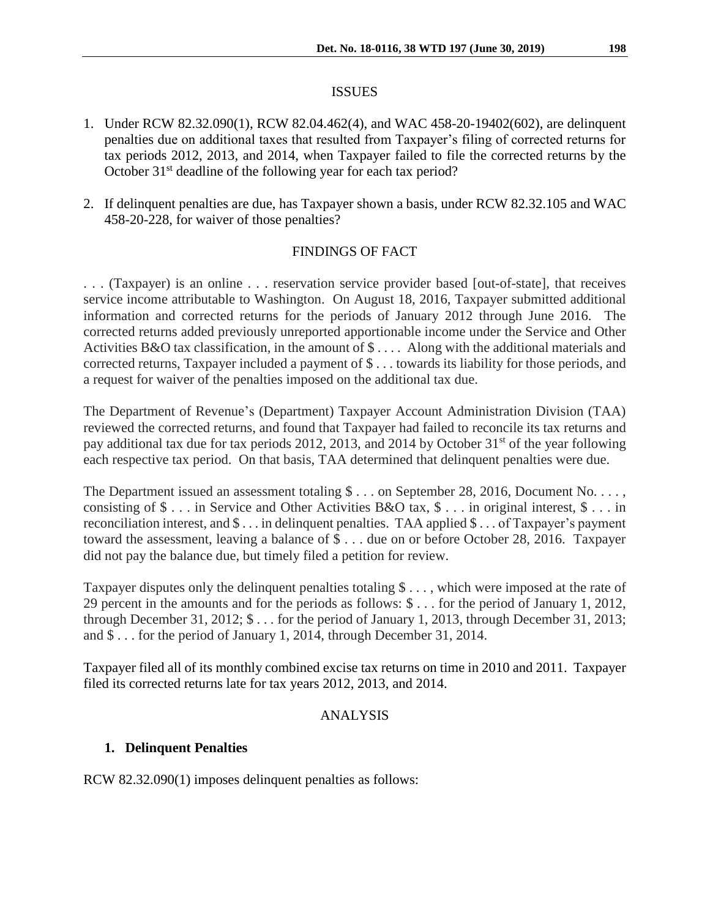#### ISSUES

- 1. Under RCW 82.32.090(1), RCW 82.04.462(4), and WAC 458-20-19402(602), are delinquent penalties due on additional taxes that resulted from Taxpayer's filing of corrected returns for tax periods 2012, 2013, and 2014, when Taxpayer failed to file the corrected returns by the October 31<sup>st</sup> deadline of the following year for each tax period?
- 2. If delinquent penalties are due, has Taxpayer shown a basis, under RCW 82.32.105 and WAC 458-20-228, for waiver of those penalties?

# FINDINGS OF FACT

. . . (Taxpayer) is an online . . . reservation service provider based [out-of-state], that receives service income attributable to Washington. On August 18, 2016, Taxpayer submitted additional information and corrected returns for the periods of January 2012 through June 2016. The corrected returns added previously unreported apportionable income under the Service and Other Activities B&O tax classification, in the amount of \$ . . . . Along with the additional materials and corrected returns, Taxpayer included a payment of \$ . . . towards its liability for those periods, and a request for waiver of the penalties imposed on the additional tax due.

The Department of Revenue's (Department) Taxpayer Account Administration Division (TAA) reviewed the corrected returns, and found that Taxpayer had failed to reconcile its tax returns and pay additional tax due for tax periods 2012, 2013, and 2014 by October 31<sup>st</sup> of the year following each respective tax period. On that basis, TAA determined that delinquent penalties were due.

The Department issued an assessment totaling  $\frac{1}{2}$ ... on September 28, 2016, Document No.... consisting of \$ . . . in Service and Other Activities B&O tax, \$ . . . in original interest, \$ . . . in reconciliation interest, and \$ . . . in delinquent penalties. TAA applied \$ . . . of Taxpayer's payment toward the assessment, leaving a balance of \$ . . . due on or before October 28, 2016. Taxpayer did not pay the balance due, but timely filed a petition for review.

Taxpayer disputes only the delinquent penalties totaling \$ . . . , which were imposed at the rate of 29 percent in the amounts and for the periods as follows: \$ . . . for the period of January 1, 2012, through December 31, 2012; \$ . . . for the period of January 1, 2013, through December 31, 2013; and \$ . . . for the period of January 1, 2014, through December 31, 2014.

Taxpayer filed all of its monthly combined excise tax returns on time in 2010 and 2011. Taxpayer filed its corrected returns late for tax years 2012, 2013, and 2014.

## ANALYSIS

## **1. Delinquent Penalties**

RCW 82.32.090(1) imposes delinquent penalties as follows: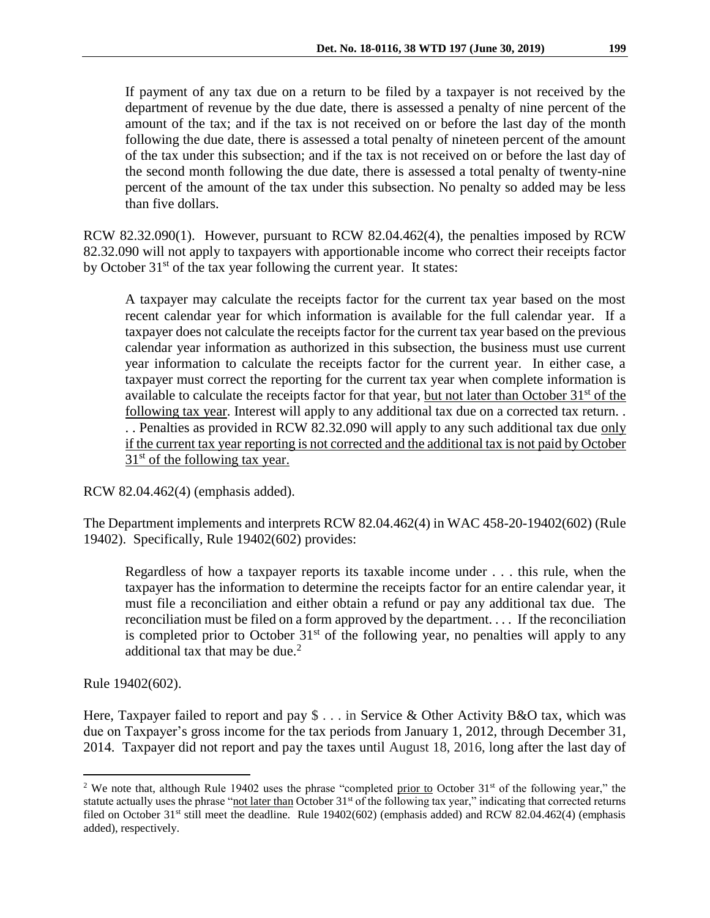If payment of any tax due on a return to be filed by a taxpayer is not received by the department of revenue by the due date, there is assessed a penalty of nine percent of the amount of the tax; and if the tax is not received on or before the last day of the month following the due date, there is assessed a total penalty of nineteen percent of the amount of the tax under this subsection; and if the tax is not received on or before the last day of the second month following the due date, there is assessed a total penalty of twenty-nine percent of the amount of the tax under this subsection. No penalty so added may be less than five dollars.

RCW 82.32.090(1). However, pursuant to RCW 82.04.462(4), the penalties imposed by RCW 82.32.090 will not apply to taxpayers with apportionable income who correct their receipts factor by October 31<sup>st</sup> of the tax year following the current year. It states:

A taxpayer may calculate the receipts factor for the current tax year based on the most recent calendar year for which information is available for the full calendar year. If a taxpayer does not calculate the receipts factor for the current tax year based on the previous calendar year information as authorized in this subsection, the business must use current year information to calculate the receipts factor for the current year. In either case, a taxpayer must correct the reporting for the current tax year when complete information is available to calculate the receipts factor for that year, but not later than October 31<sup>st</sup> of the following tax year. Interest will apply to any additional tax due on a corrected tax return. . . . Penalties as provided in RCW 82.32.090 will apply to any such additional tax due only if the current tax year reporting is not corrected and the additional tax is not paid by October  $31<sup>st</sup>$  of the following tax year.

RCW 82.04.462(4) (emphasis added).

The Department implements and interprets RCW 82.04.462(4) in WAC 458-20-19402(602) (Rule 19402). Specifically, Rule 19402(602) provides:

Regardless of how a taxpayer reports its taxable income under . . . this rule, when the taxpayer has the information to determine the receipts factor for an entire calendar year, it must file a reconciliation and either obtain a refund or pay any additional tax due. The reconciliation must be filed on a form approved by the department. . . . If the reconciliation is completed prior to October  $31<sup>st</sup>$  of the following year, no penalties will apply to any additional tax that may be due.<sup>2</sup>

Rule 19402(602).

 $\overline{a}$ 

Here, Taxpayer failed to report and pay  $\frac{1}{2}$ ... in Service & Other Activity B&O tax, which was due on Taxpayer's gross income for the tax periods from January 1, 2012, through December 31, 2014. Taxpayer did not report and pay the taxes until August 18, 2016, long after the last day of

<sup>&</sup>lt;sup>2</sup> We note that, although Rule 19402 uses the phrase "completed prior to October  $31<sup>st</sup>$  of the following year," the statute actually uses the phrase "not later than October  $31<sup>st</sup>$  of the following tax year," indicating that corrected returns filed on October 31<sup>st</sup> still meet the deadline. Rule 19402(602) (emphasis added) and RCW 82.04.462(4) (emphasis added), respectively.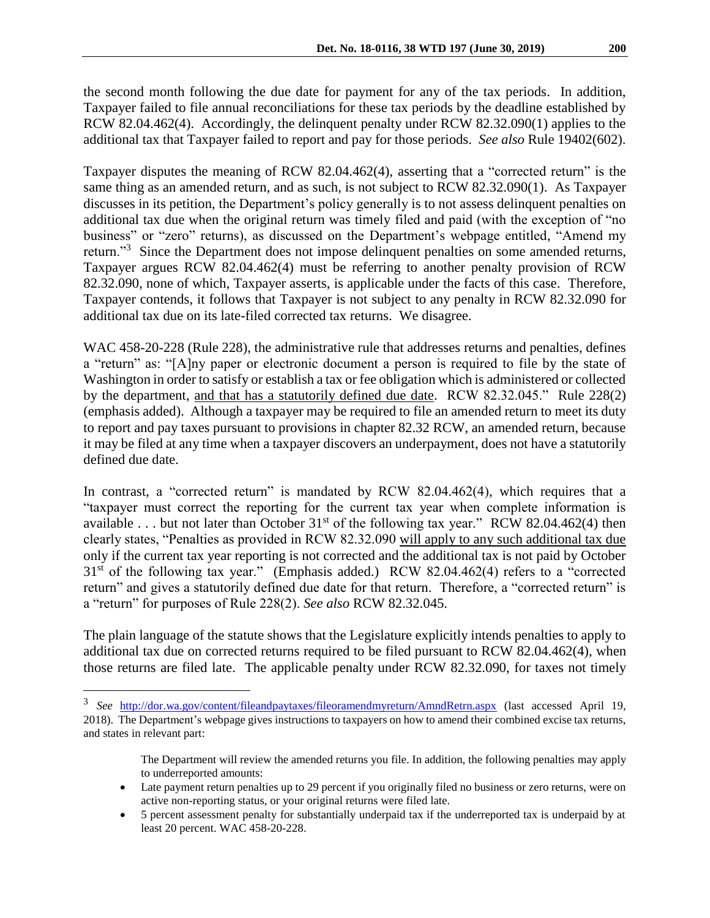the second month following the due date for payment for any of the tax periods. In addition, Taxpayer failed to file annual reconciliations for these tax periods by the deadline established by RCW 82.04.462(4). Accordingly, the delinquent penalty under RCW 82.32.090(1) applies to the additional tax that Taxpayer failed to report and pay for those periods. *See also* Rule 19402(602).

Taxpayer disputes the meaning of RCW 82.04.462(4), asserting that a "corrected return" is the same thing as an amended return, and as such, is not subject to RCW 82.32.090(1). As Taxpayer discusses in its petition, the Department's policy generally is to not assess delinquent penalties on additional tax due when the original return was timely filed and paid (with the exception of "no business" or "zero" returns), as discussed on the Department's webpage entitled, "Amend my return."<sup>3</sup> Since the Department does not impose delinquent penalties on some amended returns, Taxpayer argues RCW 82.04.462(4) must be referring to another penalty provision of RCW 82.32.090, none of which, Taxpayer asserts, is applicable under the facts of this case. Therefore, Taxpayer contends, it follows that Taxpayer is not subject to any penalty in RCW 82.32.090 for additional tax due on its late-filed corrected tax returns. We disagree.

WAC 458-20-228 (Rule 228), the administrative rule that addresses returns and penalties, defines a "return" as: "[A]ny paper or electronic document a person is required to file by the state of Washington in order to satisfy or establish a tax or fee obligation which is administered or collected by the department, and that has a statutorily defined due date. RCW 82.32.045." Rule 228(2) (emphasis added). Although a taxpayer may be required to file an amended return to meet its duty to report and pay taxes pursuant to provisions in chapter 82.32 RCW, an amended return, because it may be filed at any time when a taxpayer discovers an underpayment, does not have a statutorily defined due date.

In contrast, a "corrected return" is mandated by RCW 82.04.462(4), which requires that a "taxpayer must correct the reporting for the current tax year when complete information is available . . . but not later than October  $31<sup>st</sup>$  of the following tax year." RCW 82.04.462(4) then clearly states, "Penalties as provided in RCW 82.32.090 will apply to any such additional tax due only if the current tax year reporting is not corrected and the additional tax is not paid by October 31<sup>st</sup> of the following tax year." (Emphasis added.) RCW 82.04.462(4) refers to a "corrected return" and gives a statutorily defined due date for that return. Therefore, a "corrected return" is a "return" for purposes of Rule 228(2). *See also* RCW 82.32.045.

The plain language of the statute shows that the Legislature explicitly intends penalties to apply to additional tax due on corrected returns required to be filed pursuant to RCW 82.04.462(4), when those returns are filed late. The applicable penalty under RCW 82.32.090, for taxes not timely

 $\overline{a}$ 

- Late payment return penalties up to 29 percent if you originally filed no business or zero returns, were on active non-reporting status, or your original returns were filed late.
- 5 percent assessment penalty for substantially underpaid tax if the underreported tax is underpaid by at least 20 percent. WAC 458-20-228.

<sup>3</sup> *See* <http://dor.wa.gov/content/fileandpaytaxes/fileoramendmyreturn/AmndRetrn.aspx> (last accessed April 19, 2018). The Department's webpage gives instructions to taxpayers on how to amend their combined excise tax returns, and states in relevant part:

The Department will review the amended returns you file. In addition, the following penalties may apply to underreported amounts: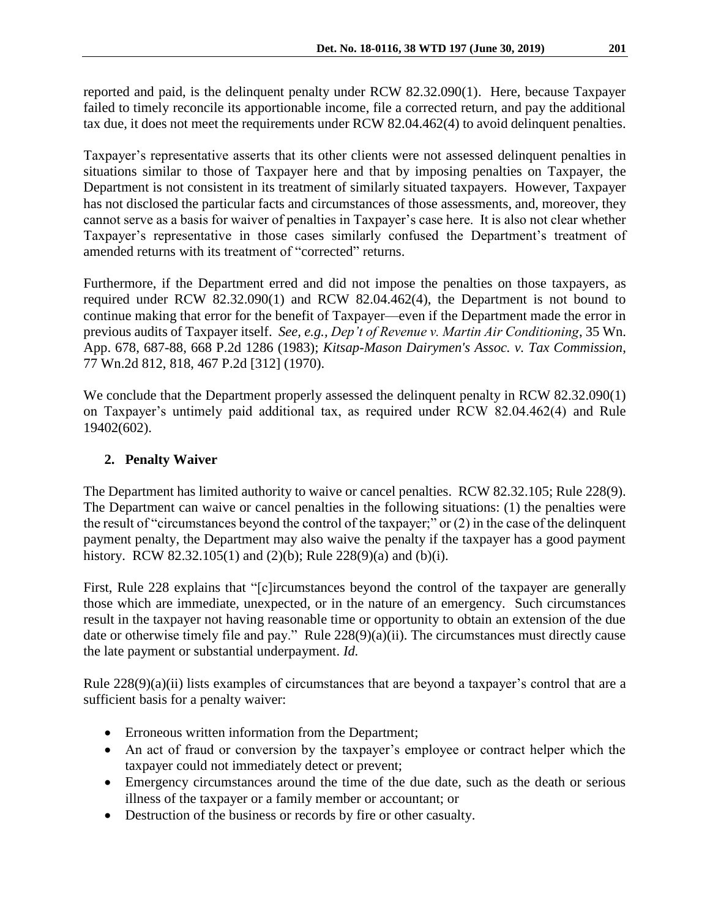reported and paid, is the delinquent penalty under RCW 82.32.090(1). Here, because Taxpayer failed to timely reconcile its apportionable income, file a corrected return, and pay the additional tax due, it does not meet the requirements under RCW 82.04.462(4) to avoid delinquent penalties.

Taxpayer's representative asserts that its other clients were not assessed delinquent penalties in situations similar to those of Taxpayer here and that by imposing penalties on Taxpayer, the Department is not consistent in its treatment of similarly situated taxpayers. However, Taxpayer has not disclosed the particular facts and circumstances of those assessments, and, moreover, they cannot serve as a basis for waiver of penalties in Taxpayer's case here. It is also not clear whether Taxpayer's representative in those cases similarly confused the Department's treatment of amended returns with its treatment of "corrected" returns.

Furthermore, if the Department erred and did not impose the penalties on those taxpayers, as required under RCW 82.32.090(1) and RCW 82.04.462(4), the Department is not bound to continue making that error for the benefit of Taxpayer—even if the Department made the error in previous audits of Taxpayer itself. *See, e.g., Dep't of Revenue v. Martin Air Conditioning*, 35 Wn. App. 678, 687-88, 668 P.2d 1286 (1983); *Kitsap-Mason Dairymen's Assoc. v. Tax Commission*, 77 Wn.2d 812, 818, 467 P.2d [312] (1970).

We conclude that the Department properly assessed the delinquent penalty in RCW 82.32.090(1) on Taxpayer's untimely paid additional tax, as required under RCW 82.04.462(4) and Rule 19402(602).

## **2. Penalty Waiver**

The Department has limited authority to waive or cancel penalties. RCW 82.32.105; Rule 228(9). The Department can waive or cancel penalties in the following situations: (1) the penalties were the result of "circumstances beyond the control of the taxpayer;" or (2) in the case of the delinquent payment penalty, the Department may also waive the penalty if the taxpayer has a good payment history. RCW 82.32.105(1) and (2)(b); Rule 228(9)(a) and (b)(i).

First, Rule 228 explains that "[c]ircumstances beyond the control of the taxpayer are generally those which are immediate, unexpected, or in the nature of an emergency. Such circumstances result in the taxpayer not having reasonable time or opportunity to obtain an extension of the due date or otherwise timely file and pay." Rule 228(9)(a)(ii). The circumstances must directly cause the late payment or substantial underpayment. *Id.*

Rule 228(9)(a)(ii) lists examples of circumstances that are beyond a taxpayer's control that are a sufficient basis for a penalty waiver:

- Erroneous written information from the Department;
- An act of fraud or conversion by the taxpayer's employee or contract helper which the taxpayer could not immediately detect or prevent;
- Emergency circumstances around the time of the due date, such as the death or serious illness of the taxpayer or a family member or accountant; or
- Destruction of the business or records by fire or other casualty.